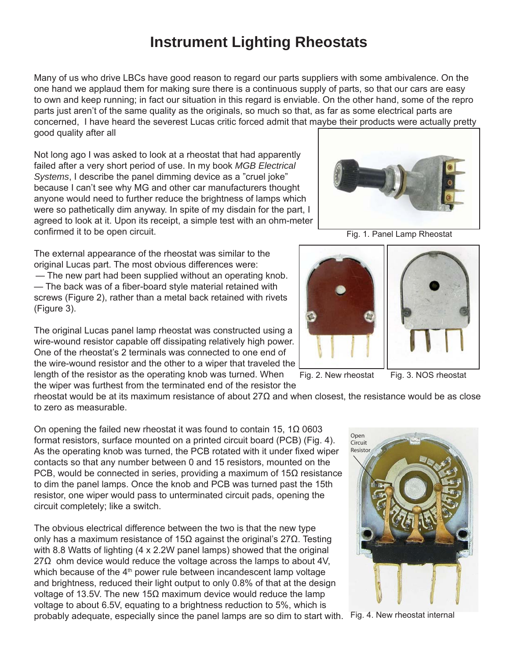## **Instrument Lighting Rheostats**

Many of us who drive LBCs have good reason to regard our parts suppliers with some ambivalence. On the one hand we applaud them for making sure there is a continuous supply of parts, so that our cars are easy to own and keep running; in fact our situation in this regard is enviable. On the other hand, some of the repro parts just aren't of the same quality as the originals, so much so that, as far as some electrical parts are concerned, I have heard the severest Lucas critic forced admit that maybe their products were actually pretty good quality after all

Not long ago I was asked to look at a rheostat that had apparently failed after a very short period of use. In my book *MGB Electrical Systems*, I describe the panel dimming device as a "cruel joke" because I can't see why MG and other car manufacturers thought anyone would need to further reduce the brightness of lamps which were so pathetically dim anyway. In spite of my disdain for the part, I agreed to look at it. Upon its receipt, a simple test with an ohm-meter confirmed it to be open circuit.

The external appearance of the rheostat was similar to the original Lucas part. The most obvious differences were:

— The new part had been supplied without an operating knob. — The back was of a fiber-board style material retained with screws (Figure 2), rather than a metal back retained with rivets (Figure 3).

The original Lucas panel lamp rheostat was constructed using a wire-wound resistor capable off dissipating relatively high power. One of the rheostat's 2 terminals was connected to one end of the wire-wound resistor and the other to a wiper that traveled the length of the resistor as the operating knob was turned. When

the wiper was furthest from the terminated end of the resistor the

rheostat would be at its maximum resistance of about 27Ω and when closest, the resistance would be as close to zero as measurable.

On opening the failed new rheostat it was found to contain 15, 1Ω 0603 format resistors, surface mounted on a printed circuit board (PCB) (Fig. 4). As the operating knob was turned, the PCB rotated with it under fixed wiper contacts so that any number between 0 and 15 resistors, mounted on the PCB, would be connected in series, providing a maximum of  $15Ω$  resistance to dim the panel lamps. Once the knob and PCB was turned past the 15th resistor, one wiper would pass to unterminated circuit pads, opening the circuit completely; like a switch.

The obvious electrical difference between the two is that the new type only has a maximum resistance of 15Ω against the original's 27Ω. Testing with 8.8 Watts of lighting (4 x 2.2W panel lamps) showed that the original  $27\Omega$  ohm device would reduce the voltage across the lamps to about 4V, which because of the  $4<sup>th</sup>$  power rule between incandescent lamp voltage and brightness, reduced their light output to only 0.8% of that at the design voltage of 13.5V. The new 15Ω maximum device would reduce the lamp voltage to about 6.5V, equating to a brightness reduction to 5%, which is probably adequate, especially since the panel lamps are so dim to start with. Fig. 4. New rheostat internal

Fig. 1. Panel Lamp Rheostat





Fig. 2. New rheostat Fig. 3. NOS rheostat